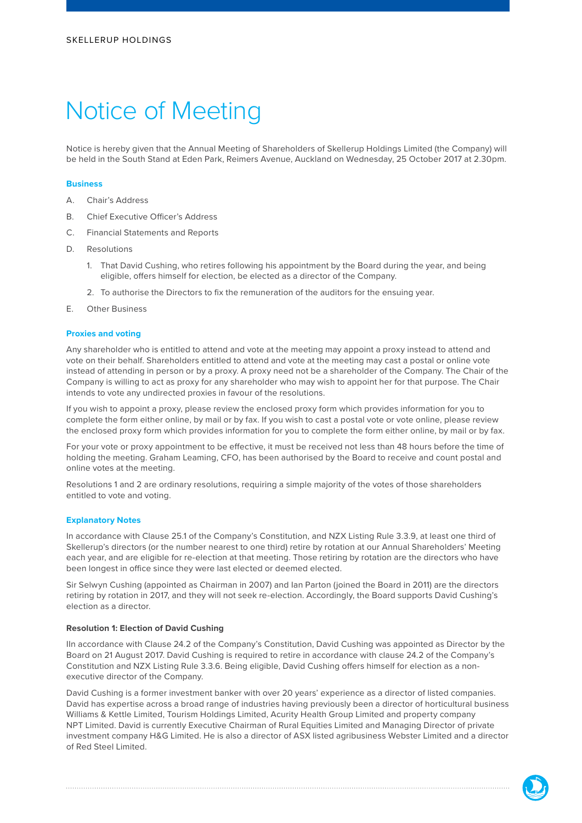# Notice of Meeting

Notice is hereby given that the Annual Meeting of Shareholders of Skellerup Holdings Limited (the Company) will be held in the South Stand at Eden Park, Reimers Avenue, Auckland on Wednesday, 25 October 2017 at 2.30pm.

#### **Business**

- A. Chair's Address
- B. Chief Executive Officer's Address
- C. Financial Statements and Reports
- D. Resolutions
	- 1. That David Cushing, who retires following his appointment by the Board during the year, and being eligible, offers himself for election, be elected as a director of the Company.
	- 2. To authorise the Directors to fix the remuneration of the auditors for the ensuing year.
- E. Other Business

#### **Proxies and voting**

Any shareholder who is entitled to attend and vote at the meeting may appoint a proxy instead to attend and vote on their behalf. Shareholders entitled to attend and vote at the meeting may cast a postal or online vote instead of attending in person or by a proxy. A proxy need not be a shareholder of the Company. The Chair of the Company is willing to act as proxy for any shareholder who may wish to appoint her for that purpose. The Chair intends to vote any undirected proxies in favour of the resolutions.

If you wish to appoint a proxy, please review the enclosed proxy form which provides information for you to complete the form either online, by mail or by fax. If you wish to cast a postal vote or vote online, please review the enclosed proxy form which provides information for you to complete the form either online, by mail or by fax.

For your vote or proxy appointment to be effective, it must be received not less than 48 hours before the time of holding the meeting. Graham Leaming, CFO, has been authorised by the Board to receive and count postal and online votes at the meeting.

Resolutions 1 and 2 are ordinary resolutions, requiring a simple majority of the votes of those shareholders entitled to vote and voting.

#### **Explanatory Notes**

In accordance with Clause 25.1 of the Company's Constitution, and NZX Listing Rule 3.3.9, at least one third of Skellerup's directors (or the number nearest to one third) retire by rotation at our Annual Shareholders' Meeting each year, and are eligible for re-election at that meeting. Those retiring by rotation are the directors who have been longest in office since they were last elected or deemed elected.

Sir Selwyn Cushing (appointed as Chairman in 2007) and Ian Parton (joined the Board in 2011) are the directors retiring by rotation in 2017, and they will not seek re-election. Accordingly, the Board supports David Cushing's election as a director.

### **Resolution 1: Election of David Cushing**

IIn accordance with Clause 24.2 of the Company's Constitution, David Cushing was appointed as Director by the Board on 21 August 2017. David Cushing is required to retire in accordance with clause 24.2 of the Company's Constitution and NZX Listing Rule 3.3.6. Being eligible, David Cushing offers himself for election as a nonexecutive director of the Company.

David Cushing is a former investment banker with over 20 years' experience as a director of listed companies. David has expertise across a broad range of industries having previously been a director of horticultural business Williams & Kettle Limited, Tourism Holdings Limited, Acurity Health Group Limited and property company NPT Limited. David is currently Executive Chairman of Rural Equities Limited and Managing Director of private investment company H&G Limited. He is also a director of ASX listed agribusiness Webster Limited and a director of Red Steel Limited.